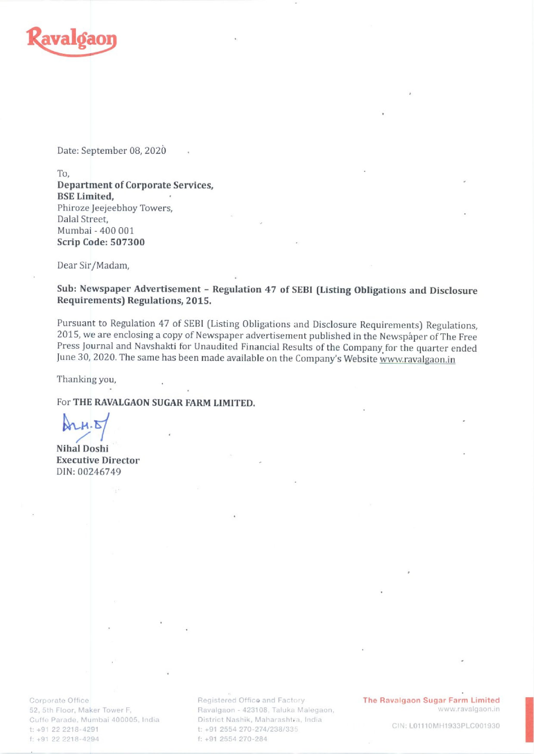

Date: September 08, 2020

To,

Department of Corporate Services, BSE Limited, Phiroze Jeejeebhoy Towers, Dalal Street, Mumbai - 400 001 Scrip Code: 507300

Dear Sir/Madam,

Sub: Newspaper Advertisement - Regulation 47 of SEBI (Listing Obligations and Disclosure Requirements) Regulations, 2015.

Pursuant to Regulation 47 of SEBI (Listing Obligations and Disclosure Requirements) Regulations, 2015, we are enclosing a copy of Newspaper advertisement published in the Newspaper of The Free Press Journal and Navshakti f

Thanking you,

For THE RAVALGAON SUGAR FARM LIMITED.

 $\mathbb{Z}$ 

Nihal Doshi Executive Director DIN: 00246749

Corporate Office Cuffe Parade, Mumbai 400005, India t: +91 22 2218-4291 f: +91 22 2218-4294

52, 5th Floor, Maker Tower F, **Ravalgaon - 423108, Taluka Malegaon**, Www.ravalgaon.in District Nashik, Maharashtra, India t: +91 2554 270-274/238/335 f: +91 2554 270-284

Registered Office and Factory **The Ravalgaon Sugar Farm Limited** 

CIN: L01110MH1933PLC001930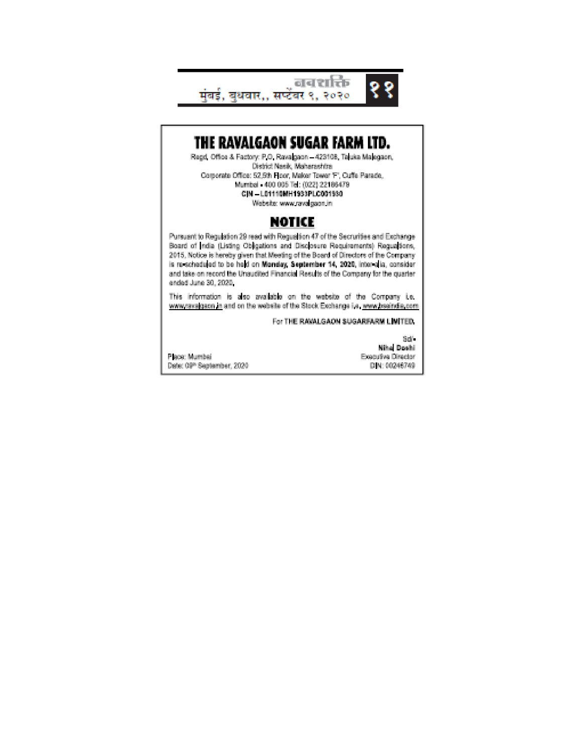

THE RAVALGAON SUGAR FARM LTD.

Regd, Office & Factory: P.O. Ravagaon - 423108, Taluka Malegaon, District Nasik, Maharashtra Corporate Office: 52,5th Floor, Maker Tower T", Cuffe Parade, Mumbel 400 005 Tel: (022) 22186479 C(M-L01110MH1933PLC001930 Website: www.rava.gaon.in

## NOTICE

Pursuant to Regulation 29 read with Regualtion 47 of the Secrurities and Exchange Board of India (Listing Obligations and Disclosure Requirements) Regualiens, 2015, Notice is hereby given that Meeting of the Board of Directors of the Company is re-scheduled to be held on Monday, September 14, 2020, inter-alia, consider and take on record the Unaudited Financial Results of the Company for the quarter ended June 30, 2020.

This information is also available on the website of the Company i.e. www.ravagaon.in and on the website of the Stock Exchange i.e. www.bseindie.com

For THE RAWALGAON SUGARFARM LIMITED.

Sold ... **Miha Doshi** Executive Director DJN: 00246749

Plecic Mumbei Date: 09th September, 2020